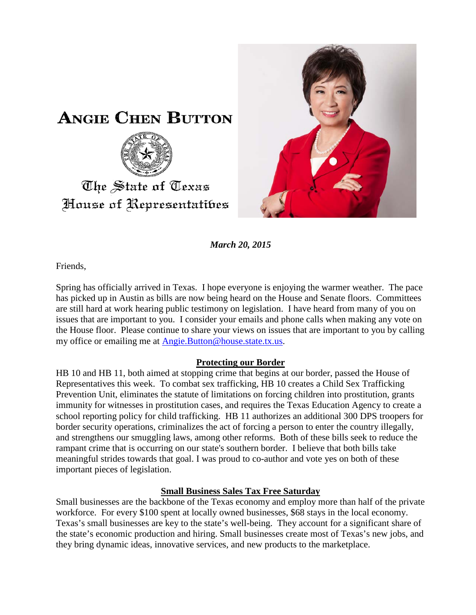



*March 20, 2015*

Friends,

Spring has officially arrived in Texas. I hope everyone is enjoying the warmer weather. The pace has picked up in Austin as bills are now being heard on the House and Senate floors. Committees are still hard at work hearing public testimony on legislation. I have heard from many of you on issues that are important to you. I consider your emails and phone calls when making any vote on the House floor. Please continue to share your views on issues that are important to you by calling my office or emailing me at [Angie.Button@house.state.tx.us.](mailto:Angie.Button@house.state.tx.us)

## **Protecting our Border**

HB 10 and HB 11, both aimed at stopping crime that begins at our border, passed the House of Representatives this week. To combat sex trafficking, HB 10 creates a Child Sex Trafficking Prevention Unit, eliminates the statute of limitations on forcing children into prostitution, grants immunity for witnesses in prostitution cases, and requires the Texas Education Agency to create a school reporting policy for child trafficking. HB 11 authorizes an additional 300 DPS troopers for border security operations, criminalizes the act of forcing a person to enter the country illegally, and strengthens our smuggling laws, among other reforms. Both of these bills seek to reduce the rampant crime that is occurring on our state's southern border. I believe that both bills take meaningful strides towards that goal. I was proud to co-author and vote yes on both of these important pieces of legislation.

## **Small Business Sales Tax Free Saturday**

Small businesses are the backbone of the Texas economy and employ more than half of the private workforce. For every \$100 spent at locally owned businesses, \$68 stays in the local economy. Texas's small businesses are key to the state's well-being. They account for a significant share of the state's economic production and hiring. Small businesses create most of Texas's new jobs, and they bring dynamic ideas, innovative services, and new products to the marketplace.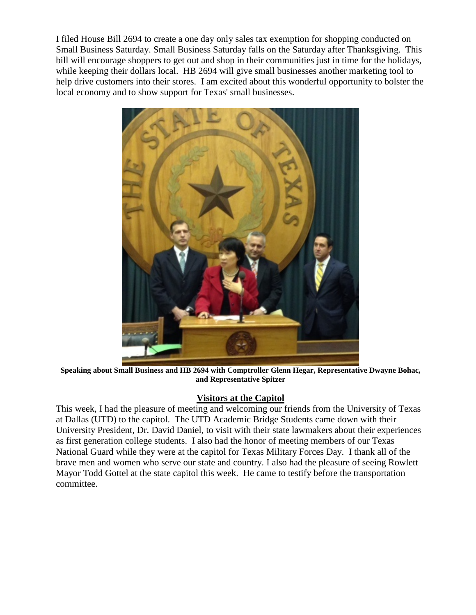I filed House Bill 2694 to create a one day only sales tax exemption for shopping conducted on Small Business Saturday. Small Business Saturday falls on the Saturday after Thanksgiving. This bill will encourage shoppers to get out and shop in their communities just in time for the holidays, while keeping their dollars local. HB 2694 will give small businesses another marketing tool to help drive customers into their stores. I am excited about this wonderful opportunity to bolster the local economy and to show support for Texas' small businesses.



**Speaking about Small Business and HB 2694 with Comptroller Glenn Hegar, Representative Dwayne Bohac, and Representative Spitzer**

## **Visitors at the Capitol**

This week, I had the pleasure of meeting and welcoming our friends from the University of Texas at Dallas (UTD) to the capitol. The UTD Academic Bridge Students came down with their University President, Dr. David Daniel, to visit with their state lawmakers about their experiences as first generation college students. I also had the honor of meeting members of our Texas National Guard while they were at the capitol for Texas Military Forces Day. I thank all of the brave men and women who serve our state and country. I also had the pleasure of seeing Rowlett Mayor Todd Gottel at the state capitol this week. He came to testify before the transportation committee.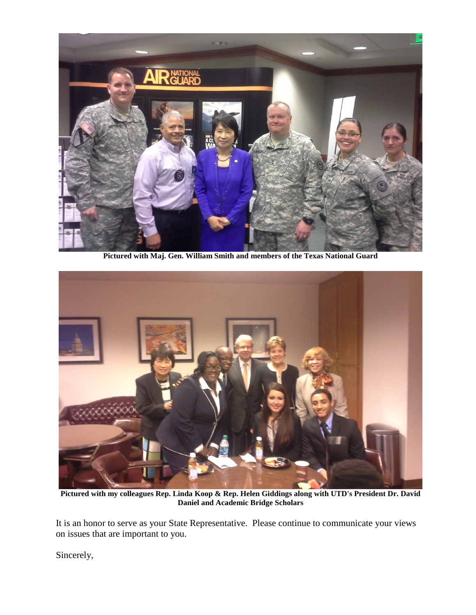

**Pictured with Maj. Gen. William Smith and members of the Texas National Guard**



**Pictured with my colleagues Rep. Linda Koop & Rep. Helen Giddings along with UTD's President Dr. David Daniel and Academic Bridge Scholars**

It is an honor to serve as your State Representative. Please continue to communicate your views on issues that are important to you.

Sincerely,